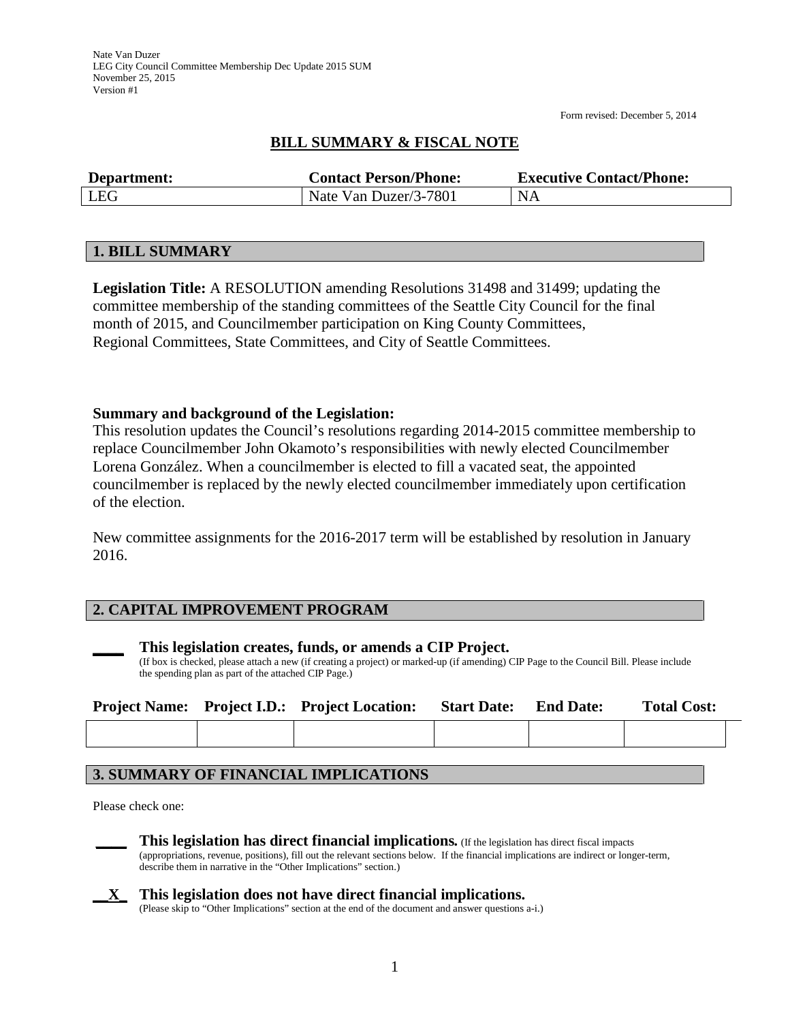Form revised: December 5, 2014

# **BILL SUMMARY & FISCAL NOTE**

| Department: | <b>Contact Person/Phone:</b> | <b>Executive Contact/Phone:</b> |
|-------------|------------------------------|---------------------------------|
| LEG         | Nate Van Duzer/3-7801        | <b>NA</b>                       |

### **1. BILL SUMMARY**

**Legislation Title:** A RESOLUTION amending Resolutions 31498 and 31499; updating the committee membership of the standing committees of the Seattle City Council for the final month of 2015, and Councilmember participation on King County Committees, Regional Committees, State Committees, and City of Seattle Committees.

### **Summary and background of the Legislation:**

This resolution updates the Council's resolutions regarding 2014-2015 committee membership to replace Councilmember John Okamoto's responsibilities with newly elected Councilmember Lorena González. When a councilmember is elected to fill a vacated seat, the appointed councilmember is replaced by the newly elected councilmember immediately upon certification of the election.

New committee assignments for the 2016-2017 term will be established by resolution in January 2016.

## **2. CAPITAL IMPROVEMENT PROGRAM**

#### **\_\_\_\_ This legislation creates, funds, or amends a CIP Project.**

(If box is checked, please attach a new (if creating a project) or marked-up (if amending) CIP Page to the Council Bill. Please include the spending plan as part of the attached CIP Page.)

|  | <b>Project Name:</b> Project I.D.: Project Location: | <b>Start Date:</b> | <b>End Date:</b> | <b>Total Cost:</b> |  |
|--|------------------------------------------------------|--------------------|------------------|--------------------|--|
|  |                                                      |                    |                  |                    |  |

## **3. SUMMARY OF FINANCIAL IMPLICATIONS**

Please check one:





(Please skip to "Other Implications" section at the end of the document and answer questions a-i.)